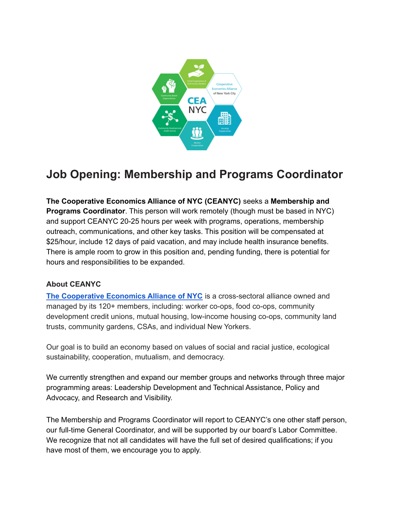

# **Job Opening: Membership and Programs Coordinator**

**The Cooperative Economics Alliance of NYC (CEANYC)** seeks a **Membership and Programs Coordinator**. This person will work remotely (though must be based in NYC) and support CEANYC 20-25 hours per week with programs, operations, membership outreach, communications, and other key tasks. This position will be compensated at \$25/hour, include 12 days of paid vacation, and may include health insurance benefits. There is ample room to grow in this position and, pending funding, there is potential for hours and responsibilities to be expanded.

#### **About CEANYC**

**The [Cooperative](http://gocoopnyc.org/) Economics Alliance of NYC** is a cross-sectoral alliance owned and managed by its 120+ members, including: worker co-ops, food co-ops, community development credit unions, mutual housing, low-income housing co-ops, community land trusts, community gardens, CSAs, and individual New Yorkers.

Our goal is to build an economy based on values of social and racial justice, ecological sustainability, cooperation, mutualism, and democracy.

We currently strengthen and expand our member groups and networks through three major programming areas: Leadership Development and Technical Assistance, Policy and Advocacy, and Research and Visibility.

The Membership and Programs Coordinator will report to CEANYC's one other staff person, our full-time General Coordinator, and will be supported by our board's Labor Committee. We recognize that not all candidates will have the full set of desired qualifications; if you have most of them, we encourage you to apply.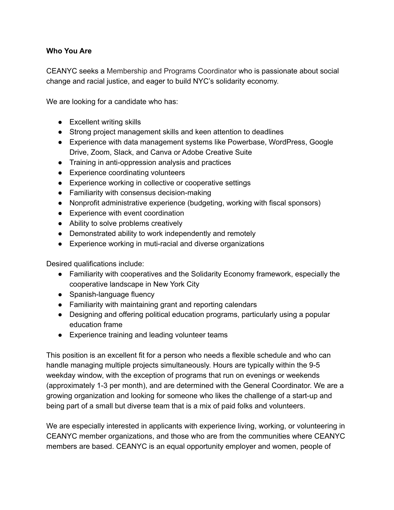#### **Who You Are**

CEANYC seeks a Membership and Programs Coordinator who is passionate about social change and racial justice, and eager to build NYC's solidarity economy.

We are looking for a candidate who has:

- Excellent writing skills
- Strong project management skills and keen attention to deadlines
- Experience with data management systems like Powerbase, WordPress, Google Drive, Zoom, Slack, and Canva or Adobe Creative Suite
- Training in anti-oppression analysis and practices
- Experience coordinating volunteers
- Experience working in collective or cooperative settings
- Familiarity with consensus decision-making
- Nonprofit administrative experience (budgeting, working with fiscal sponsors)
- Experience with event coordination
- Ability to solve problems creatively
- Demonstrated ability to work independently and remotely
- Experience working in muti-racial and diverse organizations

Desired qualifications include:

- Familiarity with cooperatives and the Solidarity Economy framework, especially the cooperative landscape in New York City
- Spanish-language fluency
- Familiarity with maintaining grant and reporting calendars
- Designing and offering political education programs, particularly using a popular education frame
- Experience training and leading volunteer teams

This position is an excellent fit for a person who needs a flexible schedule and who can handle managing multiple projects simultaneously. Hours are typically within the 9-5 weekday window, with the exception of programs that run on evenings or weekends (approximately 1-3 per month), and are determined with the General Coordinator. We are a growing organization and looking for someone who likes the challenge of a start-up and being part of a small but diverse team that is a mix of paid folks and volunteers.

We are especially interested in applicants with experience living, working, or volunteering in CEANYC member organizations, and those who are from the communities where CEANYC members are based. CEANYC is an equal opportunity employer and women, people of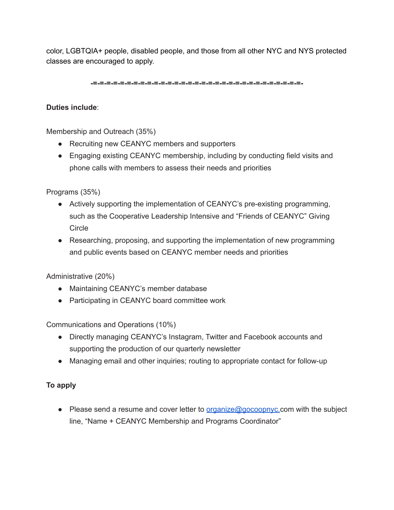color, LGBTQIA+ people, disabled people, and those from all other NYC and NYS protected classes are encouraged to apply.

**-=-=-=-=-=-=-=-=-=-=-=-=-=-=-=-=-=-=-=-=-=-=-=-=-=-=-=-=-=-=-=-**

## **Duties include**:

Membership and Outreach (35%)

- Recruiting new CEANYC members and supporters
- Engaging existing CEANYC membership, including by conducting field visits and phone calls with members to assess their needs and priorities

Programs (35%)

- Actively supporting the implementation of CEANYC's pre-existing programming, such as the Cooperative Leadership Intensive and "Friends of CEANYC" Giving **Circle**
- Researching, proposing, and supporting the implementation of new programming and public events based on CEANYC member needs and priorities

Administrative (20%)

- Maintaining CEANYC's member database
- Participating in CEANYC board committee work

Communications and Operations (10%)

- Directly managing CEANYC's Instagram, Twitter and Facebook accounts and supporting the production of our quarterly newsletter
- Managing email and other inquiries; routing to appropriate contact for follow-up

### **To apply**

● Please send a resume and cover letter to <u>[organize@gocoopnyc.](mailto:organize@gocoopnyc.org)</u>com with the subject line, "Name + CEANYC Membership and Programs Coordinator"